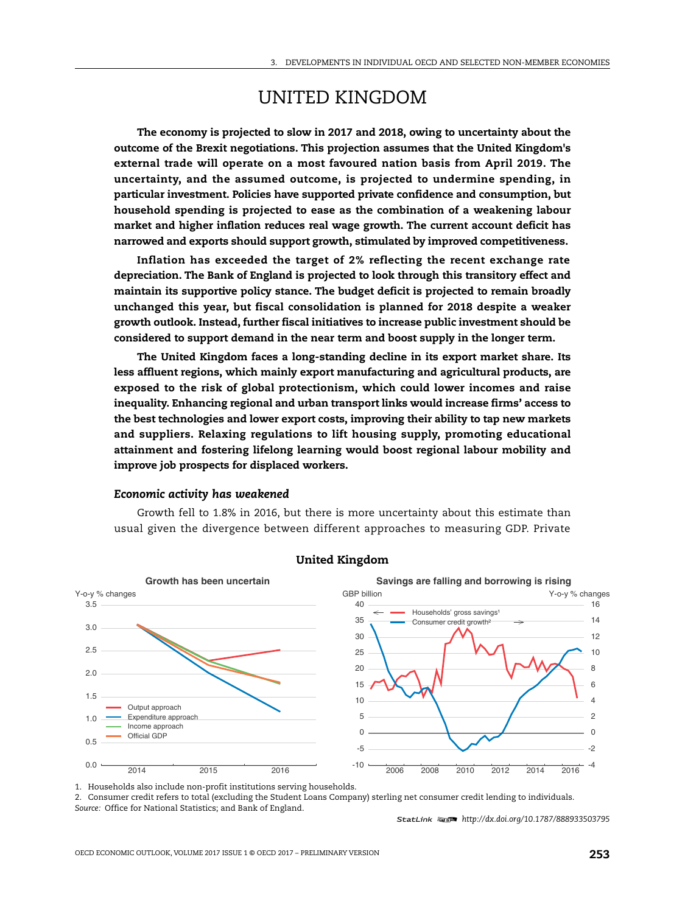# UNITED KINGDOM

**The economy is projected to slow in 2017 and 2018, owing to uncertainty about the outcome of the Brexit negotiations. This projection assumes that the United Kingdom's external trade will operate on a most favoured nation basis from April 2019. The uncertainty, and the assumed outcome, is projected to undermine spending, in particular investment. Policies have supported private confidence and consumption, but household spending is projected to ease as the combination of a weakening labour market and higher inflation reduces real wage growth. The current account deficit has narrowed and exports should support growth, stimulated by improved competitiveness.**

**Inflation has exceeded the target of 2% reflecting the recent exchange rate depreciation. The Bank of England is projected to look through this transitory effect and maintain its supportive policy stance. The budget deficit is projected to remain broadly unchanged this year, but fiscal consolidation is planned for 2018 despite a weaker growth outlook. Instead, further fiscal initiatives to increase public investment should be considered to support demand in the near term and boost supply in the longer term.**

**The United Kingdom faces a long-standing decline in its export market share. Its less affluent regions, which mainly export manufacturing and agricultural products, are exposed to the risk of global protectionism, which could lower incomes and raise inequality. Enhancing regional and urban transport links would increase firms' access to the best technologies and lower export costs, improving their ability to tap new markets and suppliers. Relaxing regulations to lift housing supply, promoting educational attainment and fostering lifelong learning would boost regional labour mobility and improve job prospects for displaced workers.**

#### *Economic activity has weakened*

Growth fell to 1.8% in 2016, but there is more uncertainty about this estimate than usual given the divergence between different approaches to measuring GDP. Private



# **United Kingdom**

1. Households also include non-profit institutions serving households.

2. Consumer credit refers to total (excluding the Student Loans Company) sterling net consumer credit lending to individuals. *Source:* Office for National Statistics; and Bank of England.

1 2 *http://dx.doi.org/10.1787/888933503795*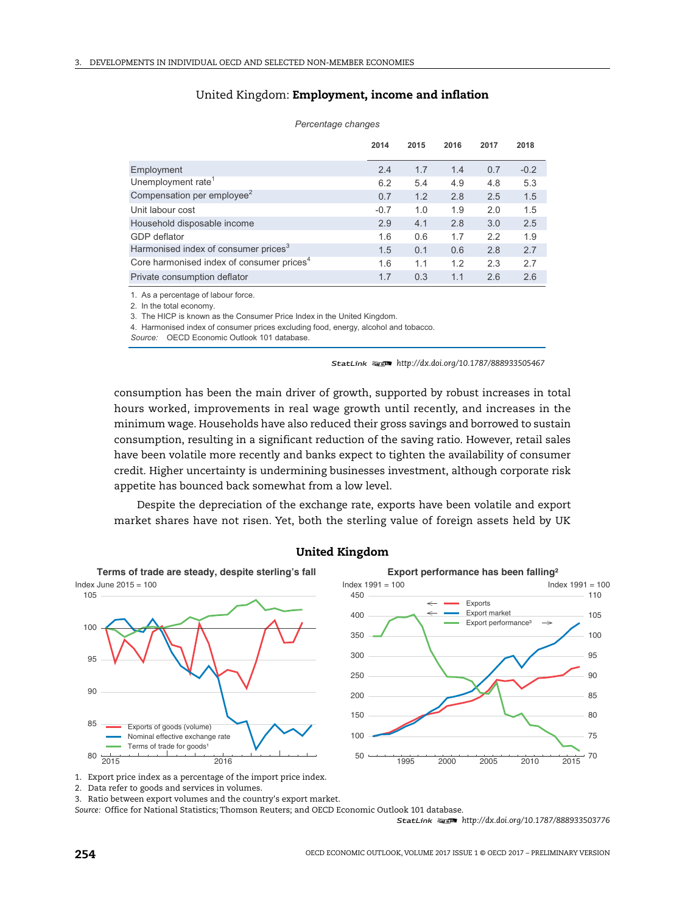# United Kingdom: **Employment, income and inflation**

|                                                       | 2014   | 2015 | 2016 | 2017 | 2018   |
|-------------------------------------------------------|--------|------|------|------|--------|
| Employment                                            | 2.4    | 1.7  | 1.4  | 0.7  | $-0.2$ |
| Unemployment rate <sup>1</sup>                        | 6.2    | 5.4  | 4.9  | 4.8  | 5.3    |
| Compensation per employee <sup>2</sup>                | 0.7    | 1.2  | 2.8  | 2.5  | 1.5    |
| Unit labour cost                                      | $-0.7$ | 1.0  | 1.9  | 2.0  | 1.5    |
| Household disposable income                           | 2.9    | 4.1  | 2.8  | 3.0  | 2.5    |
| GDP deflator                                          | 1.6    | 0.6  | 1.7  | 2.2  | 1.9    |
| Harmonised index of consumer prices <sup>3</sup>      | 1.5    | 0.1  | 0.6  | 2.8  | 2.7    |
| Core harmonised index of consumer prices <sup>4</sup> | 1.6    | 1.1  | 1.2  | 2.3  | 2.7    |
| Private consumption deflator                          | 1.7    | 0.3  | 1.1  | 2.6  | 2.6    |

#### *Percentage changes*

1. As a percentage of labour force.

2. In the total economy.

3. The HICP is known as the Consumer Price Index in the United Kingdom.

4. Harmonised index of consumer prices excluding food, energy, alcohol and tobacco.

*Source:* OECD Economic Outlook 101 database.

1 2 *http://dx.doi.org/10.1787/888933505467*

consumption has been the main driver of growth, supported by robust increases in total hours worked, improvements in real wage growth until recently, and increases in the minimum wage. Households have also reduced their gross savings and borrowed to sustain consumption, resulting in a significant reduction of the saving ratio. However, retail sales have been volatile more recently and banks expect to tighten the availability of consumer credit. Higher uncertainty is undermining businesses investment, although corporate risk appetite has bounced back somewhat from a low level.

Despite the depreciation of the exchange rate, exports have been volatile and export market shares have not risen. Yet, both the sterling value of foreign assets held by UK



# **United Kingdom**

2. Data refer to goods and services in volumes.

3. Ratio between export volumes and the country's export market.

*Source:* Office for National Statistics; Thomson Reuters; and OECD Economic Outlook 101 database.

1 2 *http://dx.doi.org/10.1787/888933503776*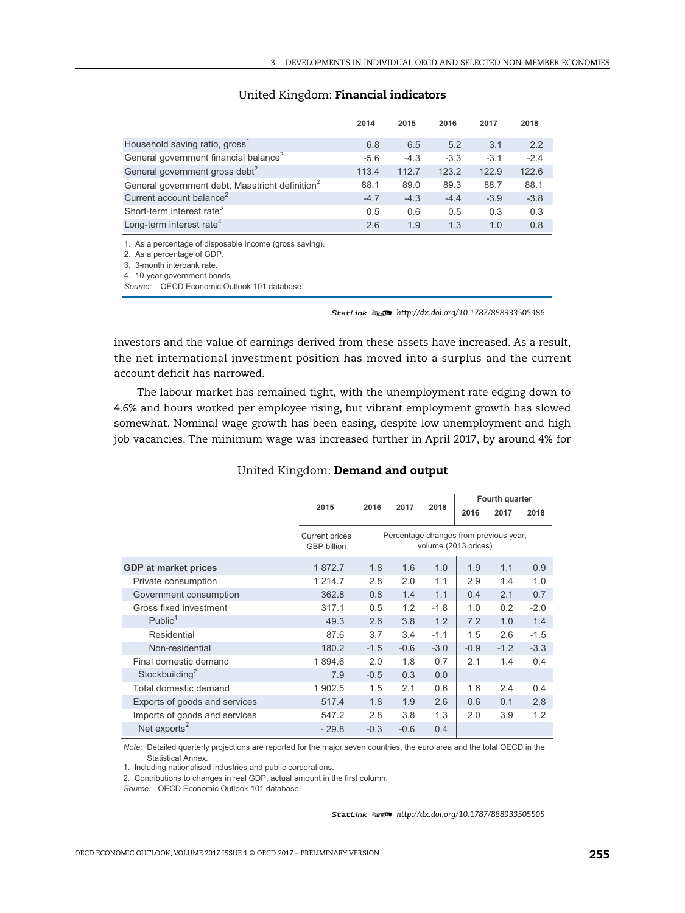|                                                             | 2014   | 2015   | 2016   | 2017   | 2018   |
|-------------------------------------------------------------|--------|--------|--------|--------|--------|
| Household saving ratio, gross'                              | 6.8    | 6.5    | 5.2    | 3.1    | 2.2    |
| General government financial balance <sup>2</sup>           | $-5.6$ | $-4.3$ | $-3.3$ | $-3.1$ | $-2.4$ |
| General government gross debt <sup>2</sup>                  | 113.4  | 112.7  | 123.2  | 122.9  | 122.6  |
| General government debt, Maastricht definition <sup>2</sup> | 88.1   | 89.0   | 89.3   | 88.7   | 88.1   |
| Current account balance <sup>2</sup>                        | $-4.7$ | $-4.3$ | $-4.4$ | $-3.9$ | $-3.8$ |
| Short-term interest rate <sup>3</sup>                       | 0.5    | 0.6    | 0.5    | 0.3    | 0.3    |
| Long-term interest rate <sup>4</sup>                        | 2.6    | 1.9    | 1.3    | 1.0    | 0.8    |

# United Kingdom: **Financial indicators**

1. As a percentage of disposable income (gross saving).

2. As a percentage of GDP.

3. 3-month interbank rate.

4. 10-year government bonds.

*Source:* OECD Economic Outlook 101 database.

1 2 *http://dx.doi.org/10.1787/888933505486*

investors and the value of earnings derived from these assets have increased. As a result, the net international investment position has moved into a surplus and the current account deficit has narrowed.

The labour market has remained tight, with the unemployment rate edging down to 4.6% and hours worked per employee rising, but vibrant employment growth has slowed somewhat. Nominal wage growth has been easing, despite low unemployment and high job vacancies. The minimum wage was increased further in April 2017, by around 4% for

### United Kingdom: **Demand and output**

|                                             |                                                                |        | 2018   | Fourth quarter |        |        |
|---------------------------------------------|----------------------------------------------------------------|--------|--------|----------------|--------|--------|
|                                             |                                                                |        |        | 2016           | 2017   | 2018   |
| <b>Current prices</b><br><b>GBP</b> billion | Percentage changes from previous year,<br>volume (2013 prices) |        |        |                |        |        |
| 1872.7                                      | 1.8                                                            | 1.6    | 1.0    | 1.9            | 1.1    | 0.9    |
| 1 2 1 4 . 7                                 | 2.8                                                            | 2.0    | 1.1    | 2.9            | 1.4    | 1.0    |
| 362.8                                       | 0.8                                                            | 1.4    | 1.1    | 0.4            | 2.1    | 0.7    |
| 317.1                                       | 0.5                                                            | 1.2    | $-1.8$ | 1.0            | 0.2    | $-2.0$ |
| 49.3                                        | 2.6                                                            | 3.8    | 1.2    | 7.2            | 1.0    | 1.4    |
| 87.6                                        | 3.7                                                            | 3.4    | $-1.1$ | 1.5            | 2.6    | $-1.5$ |
| 180.2                                       | $-1.5$                                                         | $-0.6$ | $-3.0$ | $-0.9$         | $-1.2$ | $-3.3$ |
| 1894.6                                      | 2.0                                                            | 1.8    | 0.7    | 2.1            | 1.4    | 0.4    |
| 7.9                                         | $-0.5$                                                         | 0.3    | 0.0    |                |        |        |
| 1 902.5                                     | 1.5                                                            | 2.1    | 0.6    | 1.6            | 2.4    | 0.4    |
| 517.4                                       | 1.8                                                            | 1.9    | 2.6    | 0.6            | 0.1    | 2.8    |
| 547.2                                       | 2.8                                                            | 3.8    | 1.3    | 2.0            | 3.9    | 1.2    |
| $-29.8$                                     | $-0.3$                                                         | $-0.6$ | 0.4    |                |        |        |
|                                             | 2015                                                           | 2016   | 2017   |                |        |        |

*Note:*  Detailed quarterly projections are reported for the major seven countries, the euro area and the total OECD in the Statistical Annex.

1. Including nationalised industries and public corporations.

2. Contributions to changes in real GDP, actual amount in the first column.

*Source:* OECD Economic Outlook 101 database.

1 2 *http://dx.doi.org/10.1787/888933505505*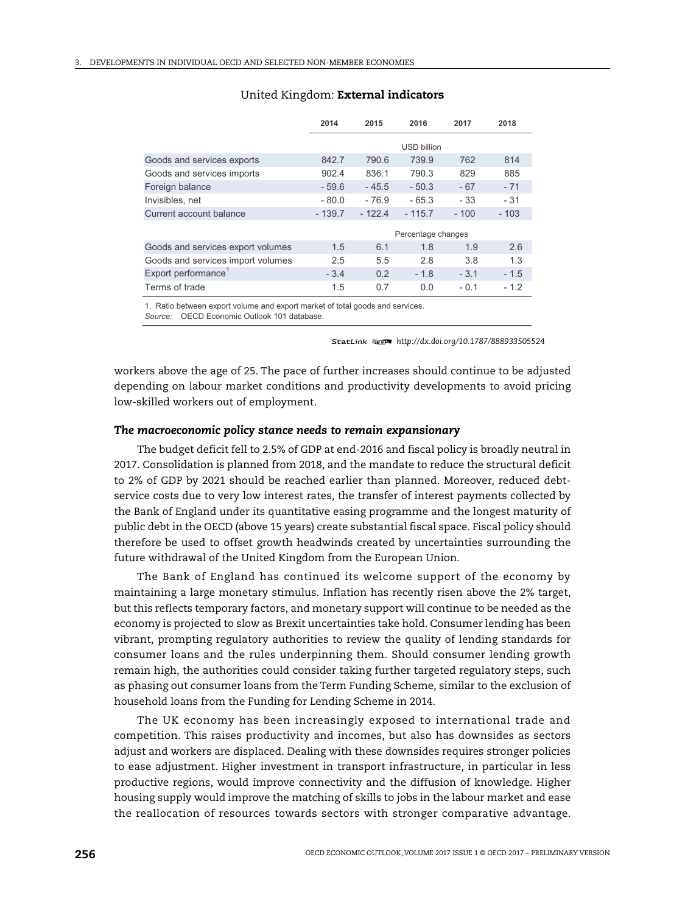|                                   | 2014               | 2015     | 2016               | 2017   | 2018   |  |  |
|-----------------------------------|--------------------|----------|--------------------|--------|--------|--|--|
|                                   |                    |          | <b>USD billion</b> |        |        |  |  |
| Goods and services exports        | 842.7              | 790.6    | 739.9              | 762    | 814    |  |  |
| Goods and services imports        | 902.4              | 836.1    | 790.3              | 829    | 885    |  |  |
| Foreign balance                   | $-59.6$            | $-45.5$  | $-50.3$            | $-67$  | $-71$  |  |  |
| Invisibles, net                   | $-80.0$            | $-76.9$  | $-65.3$            | $-33$  | $-31$  |  |  |
| Current account balance           | $-139.7$           | $-122.4$ | $-115.7$           | $-100$ | $-103$ |  |  |
|                                   | Percentage changes |          |                    |        |        |  |  |
| Goods and services export volumes | 1.5                | 6.1      | 1.8                | 1.9    | 2.6    |  |  |
| Goods and services import volumes | 2.5                | 5.5      | 2.8                | 3.8    | 1.3    |  |  |
| Export performance <sup>1</sup>   | $-3.4$             | 0.2      | $-1.8$             | $-3.1$ | $-1.5$ |  |  |
| Terms of trade                    | 1.5                | 0.7      | 0.0                | $-0.1$ | $-1.2$ |  |  |

#### United Kingdom: **External indicators**

1. Ratio between export volume and export market of total goods and services.

*Source:* OECD Economic Outlook 101 database.

1 2 *http://dx.doi.org/10.1787/888933505524*

workers above the age of 25. The pace of further increases should continue to be adjusted depending on labour market conditions and productivity developments to avoid pricing low-skilled workers out of employment.

#### *The macroeconomic policy stance needs to remain expansionary*

The budget deficit fell to 2.5% of GDP at end-2016 and fiscal policy is broadly neutral in 2017. Consolidation is planned from 2018, and the mandate to reduce the structural deficit to 2% of GDP by 2021 should be reached earlier than planned. Moreover, reduced debtservice costs due to very low interest rates, the transfer of interest payments collected by the Bank of England under its quantitative easing programme and the longest maturity of public debt in the OECD (above 15 years) create substantial fiscal space. Fiscal policy should therefore be used to offset growth headwinds created by uncertainties surrounding the future withdrawal of the United Kingdom from the European Union.

The Bank of England has continued its welcome support of the economy by maintaining a large monetary stimulus. Inflation has recently risen above the 2% target, but this reflects temporary factors, and monetary support will continue to be needed as the economy is projected to slow as Brexit uncertainties take hold. Consumer lending has been vibrant, prompting regulatory authorities to review the quality of lending standards for consumer loans and the rules underpinning them. Should consumer lending growth remain high, the authorities could consider taking further targeted regulatory steps, such as phasing out consumer loans from the Term Funding Scheme, similar to the exclusion of household loans from the Funding for Lending Scheme in 2014.

The UK economy has been increasingly exposed to international trade and competition. This raises productivity and incomes, but also has downsides as sectors adjust and workers are displaced. Dealing with these downsides requires stronger policies to ease adjustment. Higher investment in transport infrastructure, in particular in less productive regions, would improve connectivity and the diffusion of knowledge. Higher housing supply would improve the matching of skills to jobs in the labour market and ease the reallocation of resources towards sectors with stronger comparative advantage.